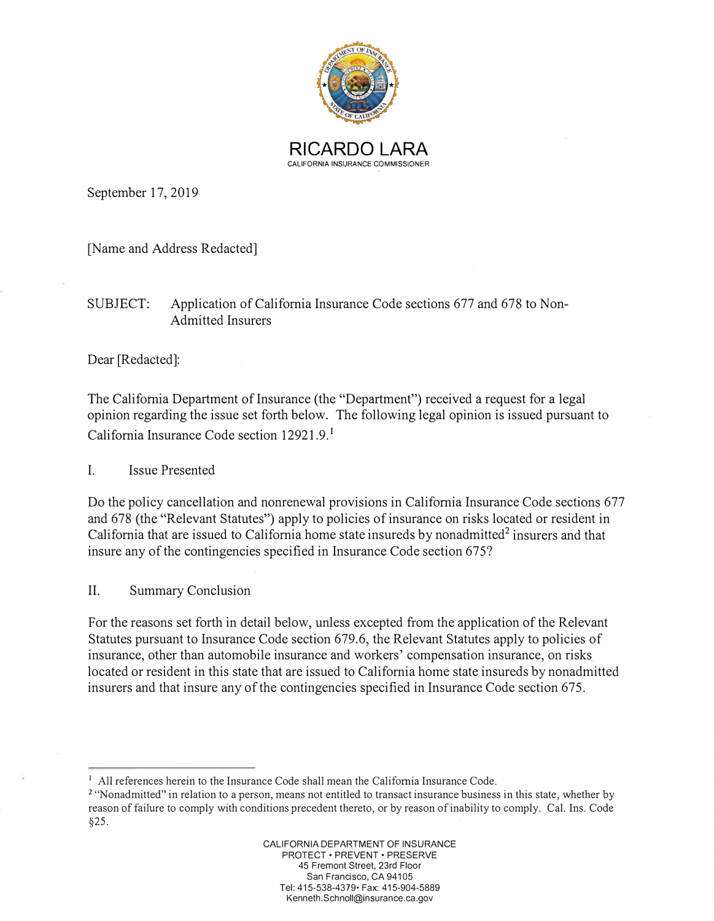

September 17, 2019

[Name and Address Redacted]

## SUBJECT: Application of California Insurance Code sections 677 and 678 to Non-Admitted Insurers

Dear [Redacted]:

The California Department of Insurance (the "Department") received a request for a legal opinion regarding the issue set forth below. The following legal opinion is issued pursuant to California Insurance Code section 12921.9. **<sup>1</sup>**

I. Issue Presented

Do the policy cancellation and nonrenewal provisions in California Insurance Code sections 677 and 678 (the "Relevant Statutes") apply to policies of insurance on risks located or resident in California that are issued to California home state insureds by nonadmitted $2$  insurers and that insure any of the contingencies specified in Insurance Code section 675?

II. Summary Conclusion

For the reasons set forth in detail below, unless excepted from the application of the Relevant Statutes pursuant to Insurance Code section 679.6, the Relevant Statutes apply to policies of insurance, other than automobile insurance and workers' compensation insurance, on risks located or resident in this state that are issued to California home state insureds by nonadmitted insurers and that insure any of the contingencies specified in Insurance Code section 675.

<sup>&</sup>lt;sup>1</sup> All references herein to the Insurance Code shall mean the California Insurance Code.

**<sup>2</sup>**''Nonadmitted" in relation to a person, means not entitled to transact insurance business in this state, whether by reason of failure to comply with conditions precedent thereto, or by reason of inability to comply. Cal. Ins. Code §25.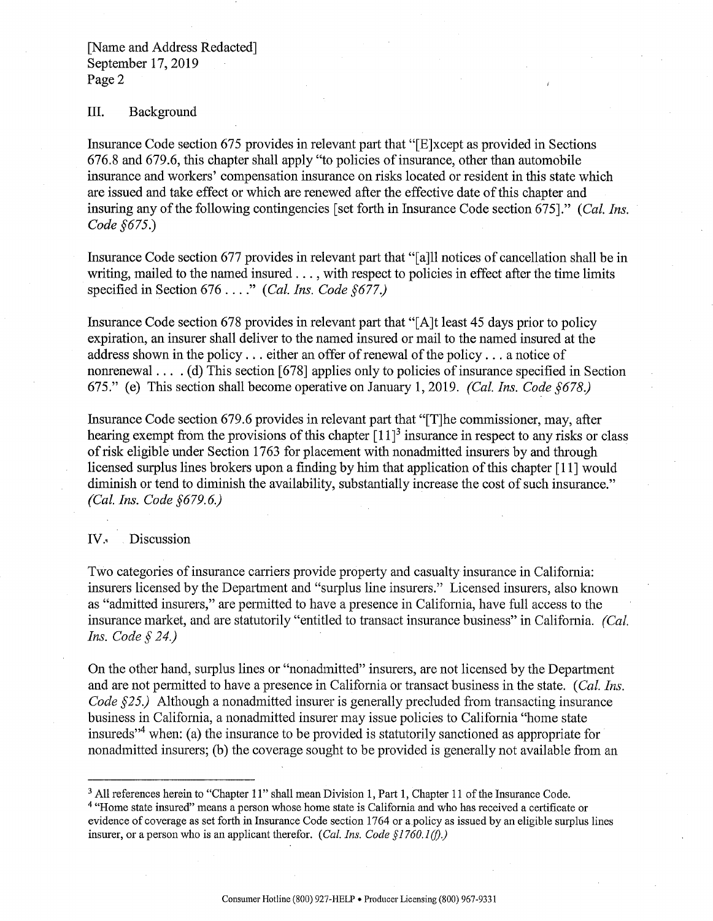## III. Background

Insurance Code section 675 provides in relevant part that "[E]xcept as provided in Sections 676.8 and 679.6, this chapter shall apply "to policies of insurance, other than automobile insurance and workers' compensation insurance on risks located or resident in this state which are issued and take effect or which are renewed after the effective date ofthis chapter and insuring any of the following contingencies [set forth in Insurance Code section 675]." *(Cal. Ins. Code §675.)* 

Insurance Code section 677 provides in relevant part that "[a]ll notices of cancellation shall be in writing, mailed to the named insured ..., with respect to policies in effect after the time limits specified in Section 676 ...." *(Cal. Ins. Code §677.)* 

Insurance Code section 678 provides in relevant part that "[ A ]t least 45 days prior to policy expiration, an insurer shall deliver to the named insured or mail to the named insured at the address shown in the policy  $\ldots$  either an offer of renewal of the policy  $\ldots$  a notice of nonrenewal  $\dots$  (d) This section [678] applies only to policies of insurance specified in Section 675." (e) This section shall become operative on January 1, 2019. *(Cal. Ins. Code §678)* 

Insurance Code section 679.6 provides in relevant part that "[T]he commissioner, may, after hearing exempt from the provisions of this chapter  $[11]$ <sup>3</sup> insurance in respect to any risks or class ofrisk eligible under Section 1763 for placement with nonadmitted insurers by and through licensed surplus lines brokers upon a finding by him that application of this chapter [11] would diminish or tend to diminish the availability, substantially increase the cost of such insurance." *(Cal. Ins. Code §679. 6.)* 

## IV., Discussion

Two categories of insurance carriers provide property and casualty insurance in California: insurers licensed by the Department and "surplus line insurers." Licensed insurers, also known as "admitted insurers," are pennitted to have a presence in California, have full access to the insurance market, and are statutorily "entitled to transact insurance business" in California. *(Cal. Ins. Code§ 24.)* 

On the other hand, surplus lines or "nonadmitted" insurers, are not licensed by the Department and are not pennitted to have a presence in California or transact business in the state. (*Cal. Ins. Code §25.*) Although a nonadmitted insurer is generally precluded from transacting insurance business in California, a nonadmitted insurer may issue policies to California "home state insureds"[4](#page-2-0)  when: (a) the insurance to be provided is statutorily sanctioned as appropriate for nonadmitted insurers; (b) the coverage sought to be provided is generally not available from an

<sup>&</sup>lt;sup>3</sup> All references herein to "Chapter 11" shall mean Division 1, Part 1, Chapter 11 of the Insurance Code.

<sup>4</sup>"Home state insured" means a person whose home state is California and who has received a certificate or evidence of coverage as set forth in Insurance Code section 1764 or a policy as issued by an eligible surplus lines insurer, or a person who is an applicant therefor. *(Cal. Ins. Code §1760.1(f).)*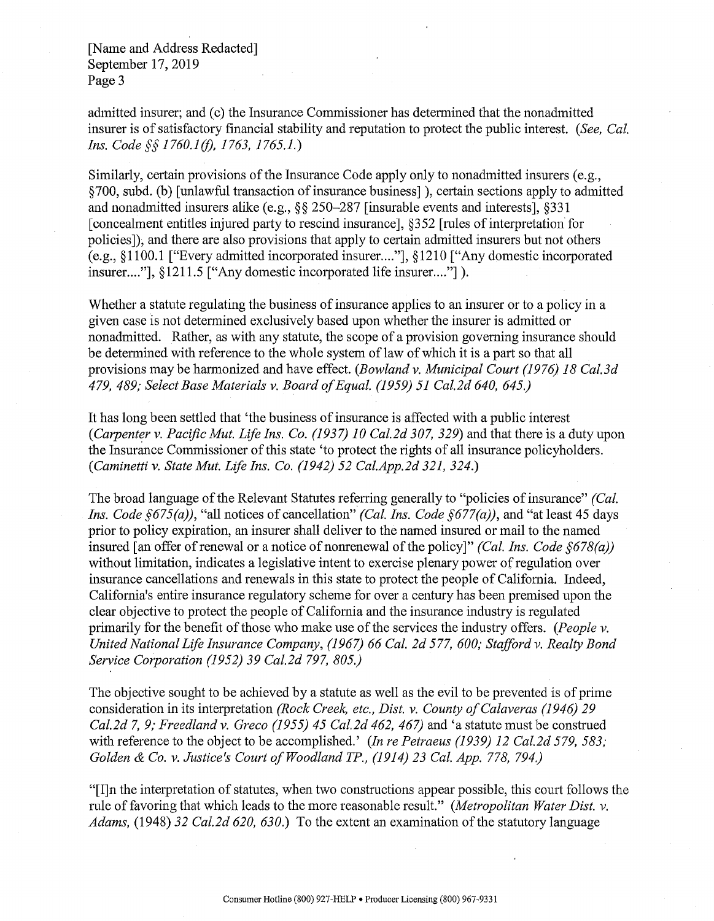<span id="page-2-0"></span>[Name and Address Redacted] September 17, 2019 Page 3

admitted insurer; and (c) the Insurance Commissioner has determined that the nonadmitted insurer is of satisfactory financial stability and reputation to protect the public interest. *(See, Cal. Ins. Code§§ 1760.l(f), 1763, 1765.1.)* 

Similarly, certain provisions of the Insurance Code apply only to nonadmitted insurers (e.g., §700, subd. (b) [unlawful transaction ofinsurance business]), certain sections apply to admitted and nonadmitted insurers alike (e.g.,§§ 250-287 [insurable events and interests], §331 [concealment entitles injured party to rescind insurance], §352 [rules of interpretation for policies]), and there are also provisions that apply to certain admitted insurers but not others (e.g., §1100.1 ["Every admitted incorporated insurer .... "], §1210 ["Any domestic incorporated insurer...."], §1211.5 ["Any domestic incorporated life insurer...."]).

Whether a statute regulating the business of insurance applies to an insurer or to a policy in a given case is not determined exclusively based upon whether the insurer is admitted or nonadmitted. Rather, as with any statute, the scope of a provision governing insurance should be determined with reference to the whole system of law of which it is a part so that all provisions maybe harmonized and have effect. *(Bowland v. Municipal Court (1976) 18 Cal.3d 479, 489; Select Base Materials v. Board ofEqual. (1959) 51 Cal.2d 640, 645.)* 

It has long been settled that 'the business of insurance is affected with a public interest *(Carpenter v. Pacific Mut. Life Ins. Co. (1937) 10 Cal.2d 307, 329)* and that there is a duty upon the Insurance Commissioner of this state 'to protect the rights of all insurance policyholders. *(Caminetti v. State Mut. Life Ins. Co. (1942) 52 [Cal.App.2d](https://Cal.App.2d) 321, 324.)* 

The broad language of the Relevant Statutes referring generally to "policies of insurance" *(Cal. Ins. Code §675(a)),* "all notices of cancellation" *(Cal. Ins. Code §677(a)),* and "at least 45 days prior to policy expiration, an insurer shall deliver to the named insured or mail to the named insured I an offer of renewal or a notice of nonrenewal of the policy]" *(Cal. Ins. Code §678(a))* without limitation, indicates a legislative intent to exercise plenary power ofregulation over insurance cancellations and renewals in this state to protect the people of California. Indeed, California's entire insurance regulatory scheme for over a century has been premised upon the clear objective to protect the people of California and the insurance industry is regulated primarily for the benefit of those who make use of the services the industry offers. *(People v. United National Life Insurance Company, (1967) 66 Cal. 2d 577, 600; Stafford v. Realty Bond Service Corporation (1952) 39 Cal.2d 797, 805.)* 

The objective sought to be achieved by a statute as well as the evil to be prevented is of prime consideration in its interpretation *(Rock Creek, etc., Dist. v. County ofCalaveras (1946) 29 Cal.2d* 7, *9; Freedland v. Greco (1955) 45 Cal.2d 462, 467)* and 'a statute must be construed with reference to the object to be accomplished.' *(In re Petraeus (1939) 12 Cal.2d 579, 583; Golden & Co. v. Justice's Court ofWoodland TP., (1914) 23 Cal. App. 778, 794.)* 

"[I]n the interpretation of statutes, when two constructions appear possible, this court follows the rule of favoring that which leads to the more reasonable result." *(Metropolitan Water Dist. v. Adams,* (1948) 32 Cal.2d 620, 630.) To the extent an examination of the statutory language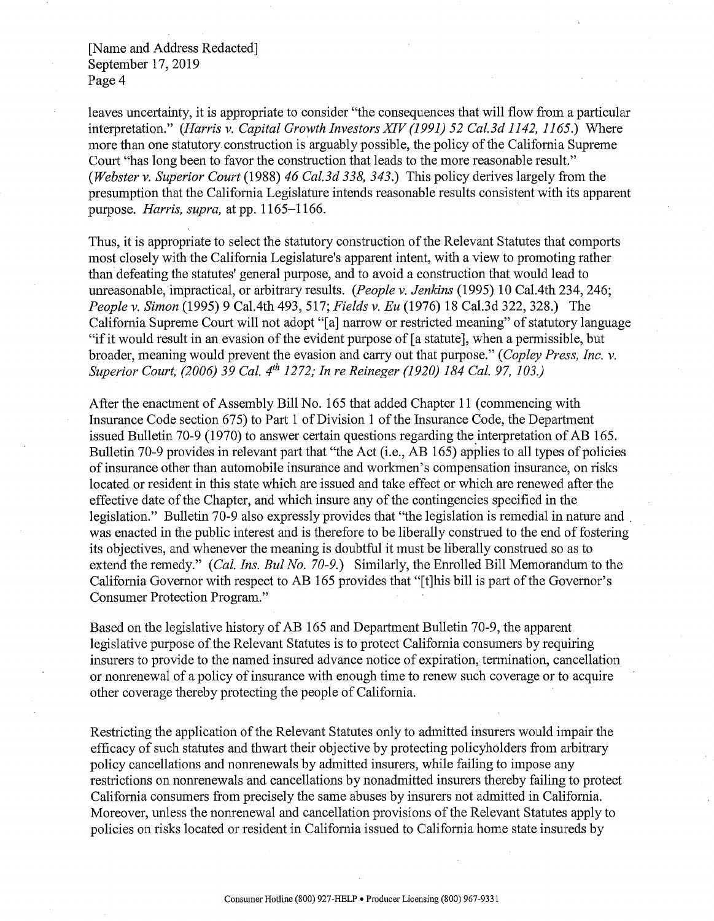[Name and Address Redacted] September 17, 2019 Page 4

leaves uncertainty, it is appropriate to consider "the consequences that will flow from a particular interpretation." *(Harris v. Capital Growth Investors XIV (1991) 52 Cal.3d 1142, 1165.)* Where more than one statutory construction is arguably possible, the policy of the California Supreme Court "has long been to favor the construction that leads to the more reasonable result." *(Webster v. Superior Court* (1988) *46 Cal.3d 338, 343.)* This policy derives largely from the presumption that the California Legislature intends reasonable results consistent with its apparent purpose. *Harris, supra,* at pp. 1165-1166.

Thus, it is appropriate to select the statutory construction of the Relevant Statutes that comports most closely with the California Legislature's apparent intent, with a view to promoting rather than defeating the statutes' general purpose, and to avoid a construction that would lead to unreasonable, impractical, or arbitrary results. *(People v. Jenkins* (1995) 10 Cal.4th 234, 246; *People v. Simon* (1995) 9 Cal.4th 493, 517; *Fields v. Eu* (1976) 18 Cal.3d 322, 328.) The California Supreme Court will not adopt "[a] narrow or restricted meaning" of statutory language "ifit would result in an evasion of the evident purpose of [ a statute], when a permissible, but broader, meaning would prevent the evasion and carry out that purpose." ( *Copley Press, Inc. v. Superior Court, (2006) 39 Cal. 4th 1272; In re Reineger (1920) 184 Cal. 97, 103.)* 

After the enactment of Assembly Bill No. 165 that added Chapter 11 ( commencing with Insurance Code section 675) to Part 1 of Division 1 ofthe Insurance Code, the Department issued Bulletin 70-9 (1970) to answer certain questions regarding the interpretation of AB 165. Bulletin 70-9 provides in relevant part that "the Act (i.e., AB 165) applies to all types of policies of insurance other than automobile insurance and workmen's compensation insurance, on risks located or resident in this state which are issued and take effect or which are renewed after the effective date of the Chapter, and which insure any of the contingencies specified in the legislation." Bulletin 70-9 also expressly provides that "the legislation is remedial in nature and was enacted in the public interest and is therefore to be liberally construed to the end of fostering its objectives, and whenever the meaning is doubtful it must be liberally construed so as to extend the remedy." *(Cal. Ins. Bu! No. 70-9.)* Similarly, the Enrolled Bill Memorandum to the California Governor with respect to AB 165 provides that "[t] his bill is part of the Governor's Consumer Protection Program."

Based on the legislative history of AB 165 and Department Bulletin 70-9, the apparent legislative purpose of the Relevant Statutes is to protect California consumers by requiring insurers to provide to the named insured advance notice of expiration, termination, cancellation or nonrenewal of a policy of insurance with enough time to renew such coverage or to acquire other coverage thereby protecting the people of California.

Restricting the application of the Relevant Statutes only to admitted insurers would impair the efficacy of such statutes and thwart their objective by protecting policyholders from arbitrary policy cancellations and nonrenewals by admitted insurers, while failing to impose any restrictions on nonrenewals and cancellations by nonadmitted insurers thereby failing to protect California consumers from precisely the same abuses by insurers not admitted in California. Moreover, unless the nonrenewal and cancellation provisions of the Relevant Statutes apply to policies on risks located or resident in California issued to California home state insureds by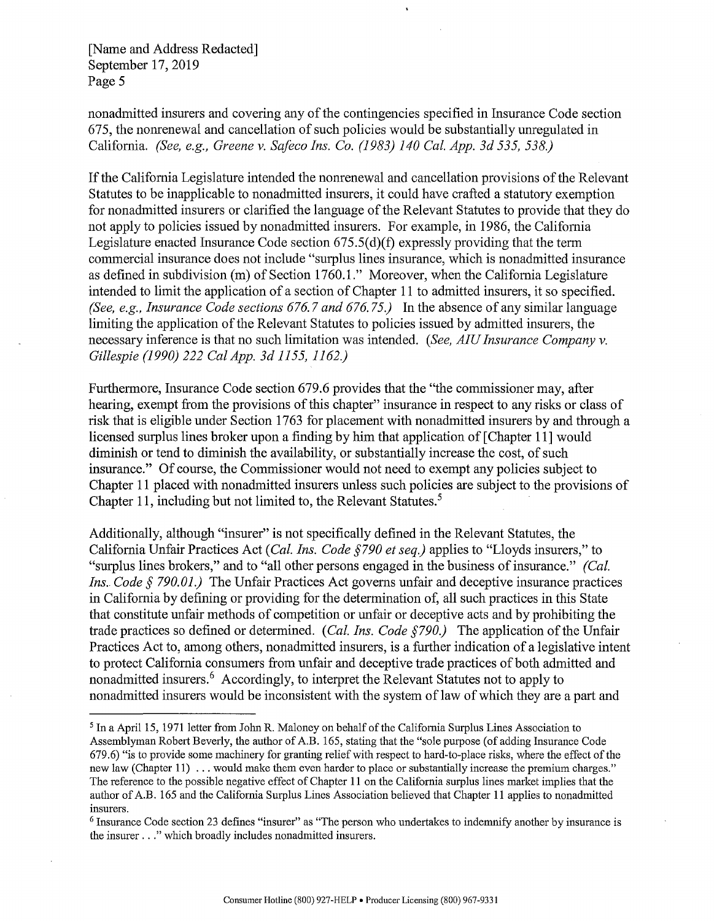[Name and Address Redacted] September 17, 2019 Page 5

nonadmitted insurers and covering any of the contingencies specified in Insurance Code section 675, the nonrenewal and cancellation of such policies would be substantially unregulated in California. *(See, e.g., Greene v. Safeco Ins. Co. (1983) 140 Cal. App. 3d 535, 538.)* 

If the California Legislature intended the nonrenewal and cancellation provisions of the Relevant Statutes to be inapplicable to nonadmitted insurers, it could have crafted a statutory exemption for nonadmitted insurers or clarified the language of the Relevant Statutes to provide that they do not apply to policies issued by nonadmitted insurers. For example, in 1986, the California Legislature enacted Insurance Code section 675.5(d)(f) expressly providing that the term commercial insurance does not include "surplus lines insurance, which is nonadmitted insurance as defined in subdivision (m) of Section 1760.1." Moreover, when the California Legislature intended to limit the application of a section of Chapter 11 to admitted insurers, it so specified. *(See, e.g., Insurance Code sections 676.* 7 *and 676. 75.)* In the absence of any similar language limiting the application of the Relevant Statutes to policies issued by admitted insurers, the necessary inference is that no such limitation was intended. *(See, AIU Insurance Company v. Gillespie (1990) 222 Cal App. 3d 1155, 1162.)* 

Furthermore, Insurance Code section 679.6 provides that the "the commissioner may, after hearing, exempt from the provisions of this chapter" insurance in respect to any risks or class of risk that is eligible under Section 1763 for placement with nonadmitted insurers by and through a licensed surplus lines broker upon a finding by him that application of [ Chapter 11] would diminish or tend to diminish the availability, or substantially increase the cost, of such insurance." Of course, the Commissioner would not need to exempt any policies subject to Chapter 11 placed with nonadmitted insurers unless such policies are subject to the provisions of Chapter 11, including but not limited to, the Relevant Statutes.<sup>5</sup>

Additionally, although "insurer" is not specifically defined in the Relevant Statutes, the California Unfair Practices Act ( *Cal. Ins. Code §790 et seq.)* applies to "Lloyds insurers," to "surplus lines brokers," and to "all other persons engaged in the business of insurance." *(Cal. Ins. Code § 790.01.*) The Unfair Practices Act governs unfair and deceptive insurance practices in California by defining or providing for the determination of, all such practices in this State that constitute unfair methods of competition or unfair or deceptive acts and by prohibiting the trade practices so defined or determined. *(Cal. Ins. Code §790.)* The application of the Unfair Practices Act to, among others, nonadmitted insurers, is a further indication of a legislative intent to protect California consumers from unfair and deceptive trade practices of both admitted and nonadmitted insurers.<sup>6</sup> Accordingly, to interpret the Relevant Statutes not to apply to nonadmitted insurers would be inconsistent with the system of law of which they are a part and

<sup>5</sup> In a April 15, 1971 letter from John R. Maloney on behalf of the California Surplus Lines Association to Assemblyman Robert Beverly, the author ofAB. 165, stating that the "sole purpose (of adding Insurance Code 679.6) "is to provide some machinery for granting relief with respect to hard-to-place risks, where the effect of the new law (Chapter 11) ... would make them even harder to place or substantially increase the premium charges." The reference to the possible negative effect of Chapter 11 on the California surplus lines market implies that the author of AB. 165 and the California Surplus Lines Association believed that Chapter 11 applies to nonadmitted insurers.

<sup>&</sup>lt;sup>6</sup> Insurance Code section 23 defines "insurer" as "The person who undertakes to indemnify another by insurance is the insurer ..." which broadly includes nonadmitted insurers.